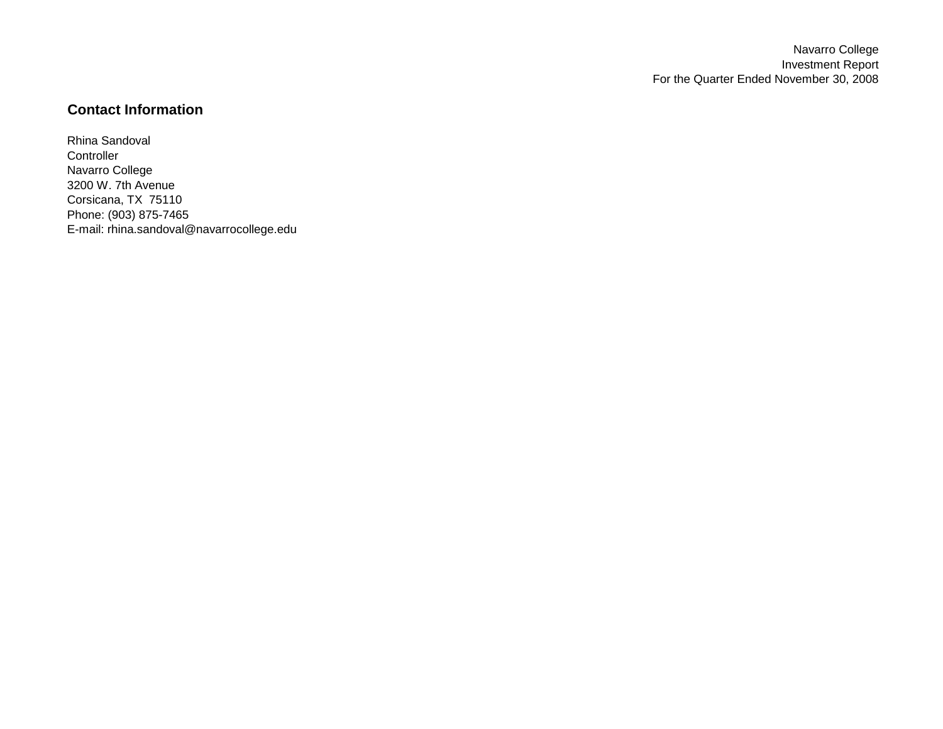Navarro College Investment Report For the Quarter Ended November 30, 2008

# **Contact Information**

Rhina Sandoval **Controller** Navarro College 3200 W. 7th Avenue Corsicana, TX 75110 Phone: (903) 875-7465 E-mail: rhina.sandoval@navarrocollege.edu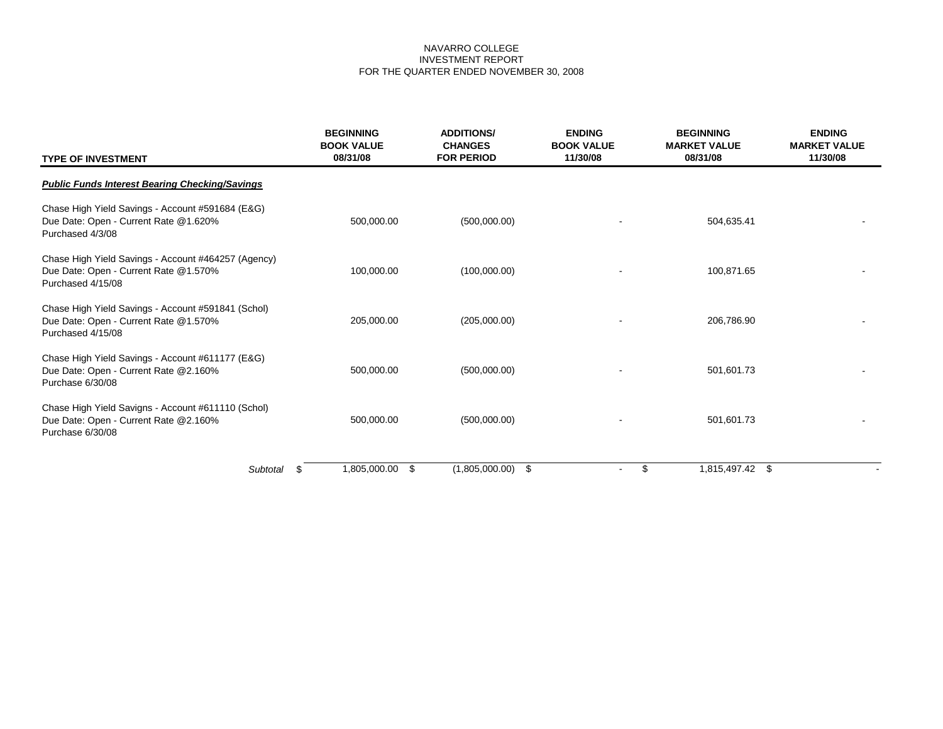# NAVARRO COLLEGE INVESTMENT REPORT FOR THE QUARTER ENDED NOVEMBER 30, 2008

| <b>TYPE OF INVESTMENT</b>                                                                                         | <b>BEGINNING</b><br><b>BOOK VALUE</b><br>08/31/08 | <b>ADDITIONS/</b><br><b>CHANGES</b><br><b>FOR PERIOD</b> | <b>ENDING</b><br><b>BOOK VALUE</b><br>11/30/08 | <b>BEGINNING</b><br><b>MARKET VALUE</b><br>08/31/08 | <b>ENDING</b><br><b>MARKET VALUE</b><br>11/30/08 |
|-------------------------------------------------------------------------------------------------------------------|---------------------------------------------------|----------------------------------------------------------|------------------------------------------------|-----------------------------------------------------|--------------------------------------------------|
| <b>Public Funds Interest Bearing Checking/Savings</b>                                                             |                                                   |                                                          |                                                |                                                     |                                                  |
| Chase High Yield Savings - Account #591684 (E&G)<br>Due Date: Open - Current Rate @1.620%<br>Purchased 4/3/08     | 500,000.00                                        | (500,000.00)                                             |                                                | 504,635.41                                          |                                                  |
| Chase High Yield Savings - Account #464257 (Agency)<br>Due Date: Open - Current Rate @1.570%<br>Purchased 4/15/08 | 100,000.00                                        | (100,000.00)                                             |                                                | 100,871.65                                          |                                                  |
| Chase High Yield Savings - Account #591841 (Schol)<br>Due Date: Open - Current Rate @1.570%<br>Purchased 4/15/08  | 205,000.00                                        | (205,000.00)                                             |                                                | 206.786.90                                          |                                                  |
| Chase High Yield Savings - Account #611177 (E&G)<br>Due Date: Open - Current Rate @2.160%<br>Purchase 6/30/08     | 500,000.00                                        | (500,000.00)                                             |                                                | 501,601.73                                          |                                                  |
| Chase High Yield Savigns - Account #611110 (Schol)<br>Due Date: Open - Current Rate @2.160%<br>Purchase 6/30/08   | 500,000.00                                        | (500,000.00)                                             |                                                | 501,601.73                                          |                                                  |
| Subtotal                                                                                                          | 1,805,000.00<br>\$<br>S                           | \$<br>(1,805,000.00)                                     | $\blacksquare$                                 | \$<br>1,815,497.42 \$                               |                                                  |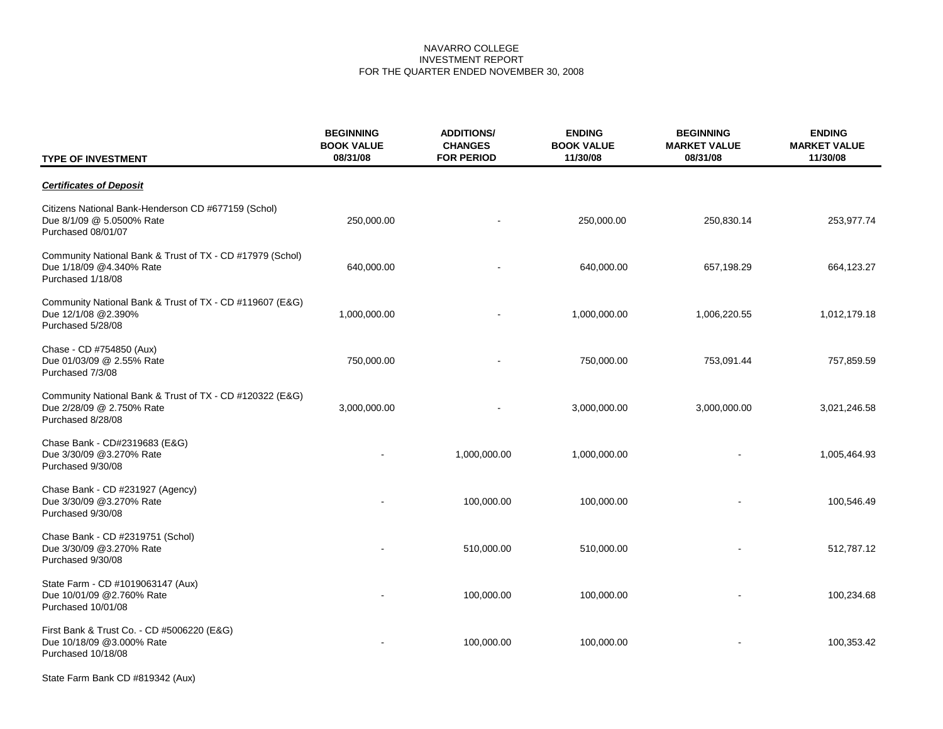# NAVARRO COLLEGE INVESTMENT REPORT FOR THE QUARTER ENDED NOVEMBER 30, 2008

| <b>TYPE OF INVESTMENT</b>                                                                                  | <b>BEGINNING</b><br><b>BOOK VALUE</b><br>08/31/08 | <b>ADDITIONS/</b><br><b>CHANGES</b><br><b>FOR PERIOD</b> | <b>ENDING</b><br><b>BOOK VALUE</b><br>11/30/08 | <b>BEGINNING</b><br><b>MARKET VALUE</b><br>08/31/08 | <b>ENDING</b><br><b>MARKET VALUE</b><br>11/30/08 |
|------------------------------------------------------------------------------------------------------------|---------------------------------------------------|----------------------------------------------------------|------------------------------------------------|-----------------------------------------------------|--------------------------------------------------|
| <b>Certificates of Deposit</b>                                                                             |                                                   |                                                          |                                                |                                                     |                                                  |
| Citizens National Bank-Henderson CD #677159 (Schol)<br>Due 8/1/09 @ 5.0500% Rate<br>Purchased 08/01/07     | 250,000.00                                        |                                                          | 250,000.00                                     | 250,830.14                                          | 253,977.74                                       |
| Community National Bank & Trust of TX - CD #17979 (Schol)<br>Due 1/18/09 @4.340% Rate<br>Purchased 1/18/08 | 640,000.00                                        |                                                          | 640,000.00                                     | 657,198.29                                          | 664,123.27                                       |
| Community National Bank & Trust of TX - CD #119607 (E&G)<br>Due 12/1/08 @2.390%<br>Purchased 5/28/08       | 1,000,000.00                                      |                                                          | 1,000,000.00                                   | 1,006,220.55                                        | 1,012,179.18                                     |
| Chase - CD #754850 (Aux)<br>Due 01/03/09 @ 2.55% Rate<br>Purchased 7/3/08                                  | 750,000.00                                        |                                                          | 750,000.00                                     | 753,091.44                                          | 757,859.59                                       |
| Community National Bank & Trust of TX - CD #120322 (E&G)<br>Due 2/28/09 @ 2.750% Rate<br>Purchased 8/28/08 | 3,000,000.00                                      |                                                          | 3,000,000.00                                   | 3,000,000.00                                        | 3,021,246.58                                     |
| Chase Bank - CD#2319683 (E&G)<br>Due 3/30/09 @3.270% Rate<br>Purchased 9/30/08                             |                                                   | 1,000,000.00                                             | 1,000,000.00                                   |                                                     | 1,005,464.93                                     |
| Chase Bank - CD #231927 (Agency)<br>Due 3/30/09 @3.270% Rate<br>Purchased 9/30/08                          |                                                   | 100,000.00                                               | 100,000.00                                     |                                                     | 100,546.49                                       |
| Chase Bank - CD #2319751 (Schol)<br>Due 3/30/09 @3.270% Rate<br>Purchased 9/30/08                          |                                                   | 510,000.00                                               | 510,000.00                                     |                                                     | 512,787.12                                       |
| State Farm - CD #1019063147 (Aux)<br>Due 10/01/09 @2.760% Rate<br>Purchased 10/01/08                       |                                                   | 100,000.00                                               | 100,000.00                                     |                                                     | 100,234.68                                       |
| First Bank & Trust Co. - CD #5006220 (E&G)<br>Due 10/18/09 @3.000% Rate<br>Purchased 10/18/08              |                                                   | 100,000.00                                               | 100,000.00                                     |                                                     | 100,353.42                                       |

State Farm Bank CD #819342 (Aux)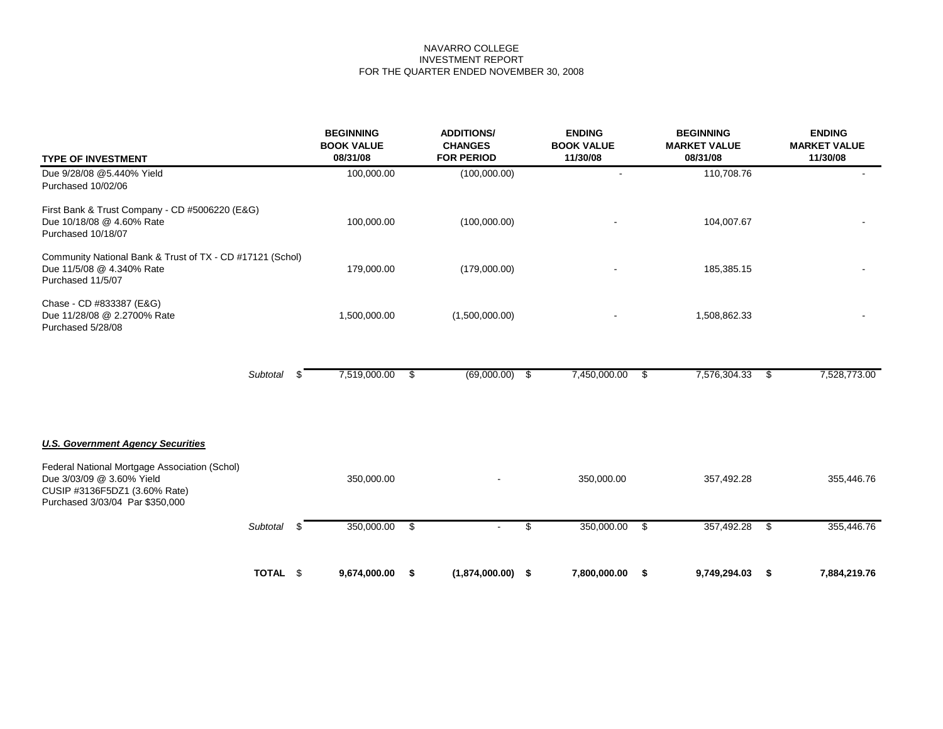# NAVARRO COLLEGE INVESTMENT REPORT FOR THE QUARTER ENDED NOVEMBER 30, 2008

| <b>TYPE OF INVESTMENT</b>                                                                                                                      |                                |      | <b>BEGINNING</b><br><b>BOOK VALUE</b><br>08/31/08 | <b>ADDITIONS/</b><br><b>CHANGES</b><br><b>FOR PERIOD</b> |              | <b>ENDING</b><br><b>BOOK VALUE</b><br>11/30/08 |      | <b>BEGINNING</b><br><b>MARKET VALUE</b><br>08/31/08 |      | <b>ENDING</b><br><b>MARKET VALUE</b><br>11/30/08 |  |
|------------------------------------------------------------------------------------------------------------------------------------------------|--------------------------------|------|---------------------------------------------------|----------------------------------------------------------|--------------|------------------------------------------------|------|-----------------------------------------------------|------|--------------------------------------------------|--|
| Due 9/28/08 @5.440% Yield<br>Purchased 10/02/06                                                                                                |                                |      | 100,000.00                                        | (100,000.00)                                             |              |                                                |      | 110,708.76                                          |      |                                                  |  |
| First Bank & Trust Company - CD #5006220 (E&G)<br>Due 10/18/08 @ 4.60% Rate<br>Purchased 10/18/07                                              |                                |      | 100,000.00                                        | (100,000.00)                                             |              |                                                |      | 104,007.67                                          |      |                                                  |  |
| Community National Bank & Trust of TX - CD #17121 (Schol)<br>Due 11/5/08 @ 4.340% Rate<br>Purchased 11/5/07                                    |                                |      | 179,000.00                                        | (179,000.00)                                             |              |                                                |      | 185,385.15                                          |      |                                                  |  |
| Chase - CD #833387 (E&G)<br>Due 11/28/08 @ 2.2700% Rate<br>Purchased 5/28/08                                                                   | 1,500,000.00<br>(1,500,000.00) |      |                                                   |                                                          | 1,508,862.33 |                                                |      |                                                     |      |                                                  |  |
|                                                                                                                                                | Subtotal                       |      | 7,519,000.00 \$                                   | (69,000.00)                                              | \$           | 7,450,000.00                                   | - \$ | 7,576,304.33                                        | - \$ | 7,528,773.00                                     |  |
| <b>U.S. Government Agency Securities</b>                                                                                                       |                                |      |                                                   |                                                          |              |                                                |      |                                                     |      |                                                  |  |
| Federal National Mortgage Association (Schol)<br>Due 3/03/09 @ 3.60% Yield<br>CUSIP #3136F5DZ1 (3.60% Rate)<br>Purchased 3/03/04 Par \$350,000 |                                |      | 350,000.00                                        |                                                          |              | 350,000.00                                     |      | 357,492.28                                          |      | 355,446.76                                       |  |
|                                                                                                                                                | Subtotal                       | - \$ | 350,000.00                                        | \$                                                       | \$           | 350,000.00                                     | - \$ | 357,492.28                                          | - \$ | 355,446.76                                       |  |
|                                                                                                                                                | TOTAL \$                       |      | 9,674,000.00                                      | \$<br>(1,874,000.00)                                     | \$           | 7,800,000.00                                   | \$   | 9,749,294.03                                        | -\$  | 7,884,219.76                                     |  |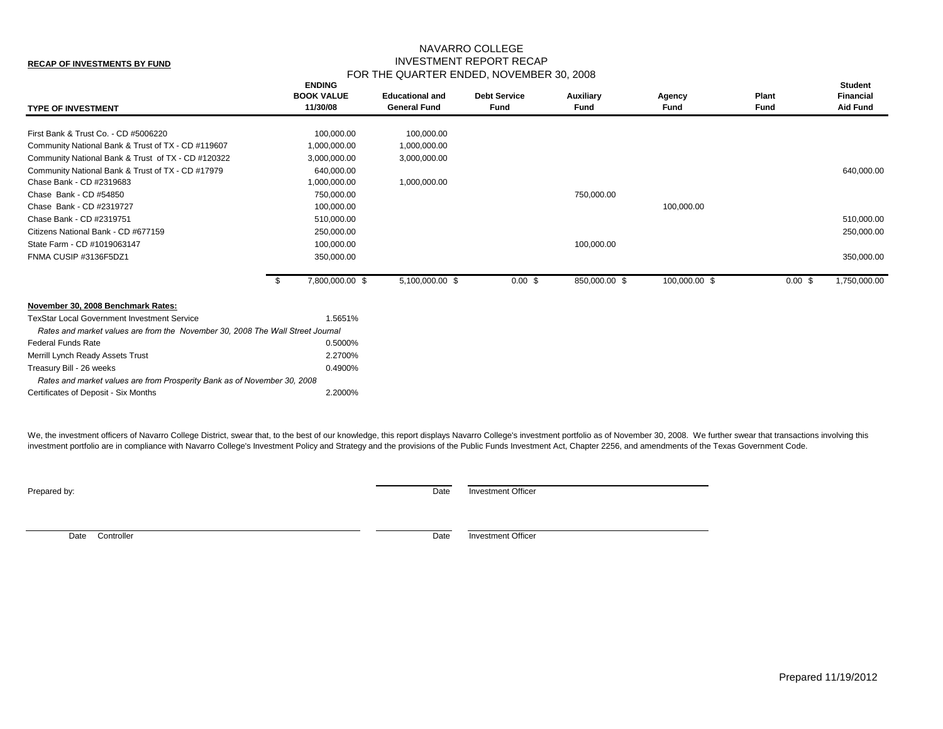#### **RECAP OF INVESTMENTS BY FUND**

# NAVARRO COLLEGE INVESTMENT REPORT RECAP FOR THE QUARTER ENDED, NOVEMBER 30, 2008

| <b>TYPE OF INVESTMENT</b>                                                      |      | <b>ENDING</b><br><b>BOOK VALUE</b><br>11/30/08 | <b>Educational and</b><br><b>General Fund</b> | <b>Debt Service</b><br>Fund | Auxiliary<br>Fund | Agency<br>Fund | Plant<br>Fund | <b>Student</b><br><b>Financial</b><br><b>Aid Fund</b> |
|--------------------------------------------------------------------------------|------|------------------------------------------------|-----------------------------------------------|-----------------------------|-------------------|----------------|---------------|-------------------------------------------------------|
| First Bank & Trust Co. - CD #5006220                                           |      | 100,000.00                                     | 100,000.00                                    |                             |                   |                |               |                                                       |
| Community National Bank & Trust of TX - CD #119607                             |      | 1,000,000.00                                   | 1,000,000.00                                  |                             |                   |                |               |                                                       |
| Community National Bank & Trust of TX - CD #120322                             |      | 3,000,000.00                                   | 3,000,000.00                                  |                             |                   |                |               |                                                       |
| Community National Bank & Trust of TX - CD #17979                              |      | 640,000.00                                     |                                               |                             |                   |                |               | 640,000.00                                            |
| Chase Bank - CD #2319683                                                       |      | 1,000,000.00                                   | 1,000,000.00                                  |                             |                   |                |               |                                                       |
| Chase Bank - CD #54850                                                         |      | 750,000.00                                     |                                               |                             | 750,000.00        |                |               |                                                       |
| Chase Bank - CD #2319727                                                       |      | 100,000.00                                     |                                               |                             |                   | 100,000.00     |               |                                                       |
| Chase Bank - CD #2319751                                                       |      | 510,000.00                                     |                                               |                             |                   |                |               | 510,000.00                                            |
| Citizens National Bank - CD #677159                                            |      | 250,000.00                                     |                                               |                             |                   |                |               | 250,000.00                                            |
| State Farm - CD #1019063147                                                    |      | 100,000.00                                     |                                               |                             | 100,000.00        |                |               |                                                       |
| FNMA CUSIP #3136F5DZ1                                                          |      | 350,000.00                                     |                                               |                             |                   |                |               | 350,000.00                                            |
|                                                                                | - \$ | 7,800,000.00 \$                                | 5,100,000.00 \$                               | $0.00 \text{ }$ \$          | 850,000.00 \$     | 100,000.00 \$  | 0.00~\$       | 1,750,000.00                                          |
| November 30, 2008 Benchmark Rates:                                             |      |                                                |                                               |                             |                   |                |               |                                                       |
| <b>TexStar Local Government Investment Service</b>                             |      | 1.5651%                                        |                                               |                             |                   |                |               |                                                       |
| Rates and market values are from the November 30, 2008 The Wall Street Journal |      |                                                |                                               |                             |                   |                |               |                                                       |
| <b>Federal Funds Rate</b>                                                      |      | 0.5000%                                        |                                               |                             |                   |                |               |                                                       |
| Merrill Lynch Ready Assets Trust                                               |      | 2.2700%                                        |                                               |                             |                   |                |               |                                                       |
| Treasury Bill - 26 weeks                                                       |      | 0.4900%                                        |                                               |                             |                   |                |               |                                                       |
| Rates and market values are from Prosperity Bank as of November 30, 2008       |      |                                                |                                               |                             |                   |                |               |                                                       |
| Certificates of Deposit - Six Months                                           |      | 2.2000%                                        |                                               |                             |                   |                |               |                                                       |
|                                                                                |      |                                                |                                               |                             |                   |                |               |                                                       |

We, the investment officers of Navarro College District, swear that, to the best of our knowledge, this report displays Navarro College's investment portfolio as of November 30, 2008. We further swear that transactions inv investment portfolio are in compliance with Navarro College's Investment Policy and Strategy and the provisions of the Public Funds Investment Act, Chapter 2256, and amendments of the Texas Government Code.

**Prepared by:** Date Investment Officer

Date Controller **Date** Investment Officer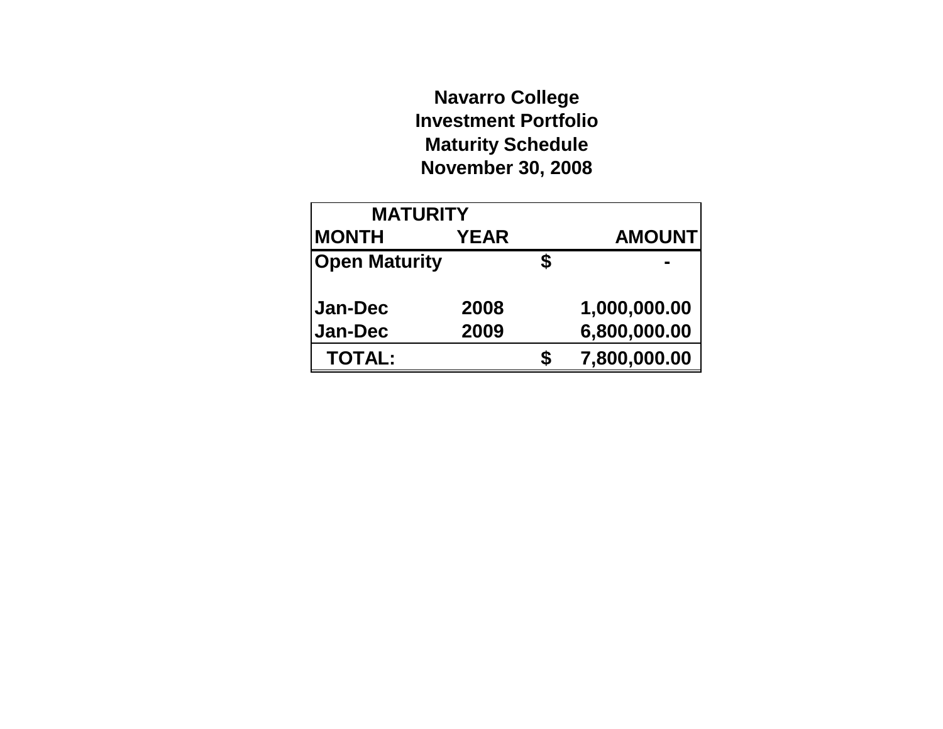# **Navarro College Investment Portfolio Maturity Schedule November 30, 2008**

| <b>MATURITY</b>      |             |   |               |
|----------------------|-------------|---|---------------|
| <b>MONTH</b>         | <b>YEAR</b> |   | <b>AMOUNT</b> |
| <b>Open Maturity</b> |             | S |               |
|                      |             |   |               |
| <b>Jan-Dec</b>       | 2008        |   | 1,000,000.00  |
| Jan-Dec              | 2009        |   | 6,800,000.00  |
| <b>TOTAL:</b>        |             | S | 7,800,000.00  |